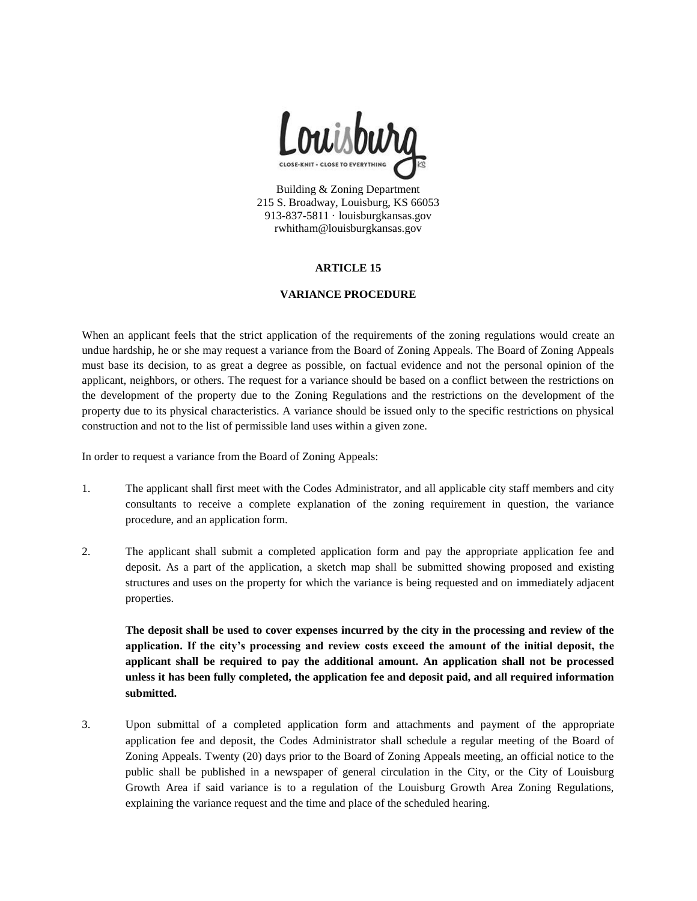

Building & Zoning Department 215 S. Broadway, Louisburg, KS 66053 913-837-5811 · louisburgkansas.gov rwhitham@louisburgkansas.gov

### **ARTICLE 15**

#### **VARIANCE PROCEDURE**

When an applicant feels that the strict application of the requirements of the zoning regulations would create an undue hardship, he or she may request a variance from the Board of Zoning Appeals. The Board of Zoning Appeals must base its decision, to as great a degree as possible, on factual evidence and not the personal opinion of the applicant, neighbors, or others. The request for a variance should be based on a conflict between the restrictions on the development of the property due to the Zoning Regulations and the restrictions on the development of the property due to its physical characteristics. A variance should be issued only to the specific restrictions on physical construction and not to the list of permissible land uses within a given zone.

In order to request a variance from the Board of Zoning Appeals:

- 1. The applicant shall first meet with the Codes Administrator, and all applicable city staff members and city consultants to receive a complete explanation of the zoning requirement in question, the variance procedure, and an application form.
- 2. The applicant shall submit a completed application form and pay the appropriate application fee and deposit. As a part of the application, a sketch map shall be submitted showing proposed and existing structures and uses on the property for which the variance is being requested and on immediately adjacent properties.

**The deposit shall be used to cover expenses incurred by the city in the processing and review of the application. If the city's processing and review costs exceed the amount of the initial deposit, the applicant shall be required to pay the additional amount. An application shall not be processed unless it has been fully completed, the application fee and deposit paid, and all required information submitted.** 

3. Upon submittal of a completed application form and attachments and payment of the appropriate application fee and deposit, the Codes Administrator shall schedule a regular meeting of the Board of Zoning Appeals. Twenty (20) days prior to the Board of Zoning Appeals meeting, an official notice to the public shall be published in a newspaper of general circulation in the City, or the City of Louisburg Growth Area if said variance is to a regulation of the Louisburg Growth Area Zoning Regulations, explaining the variance request and the time and place of the scheduled hearing.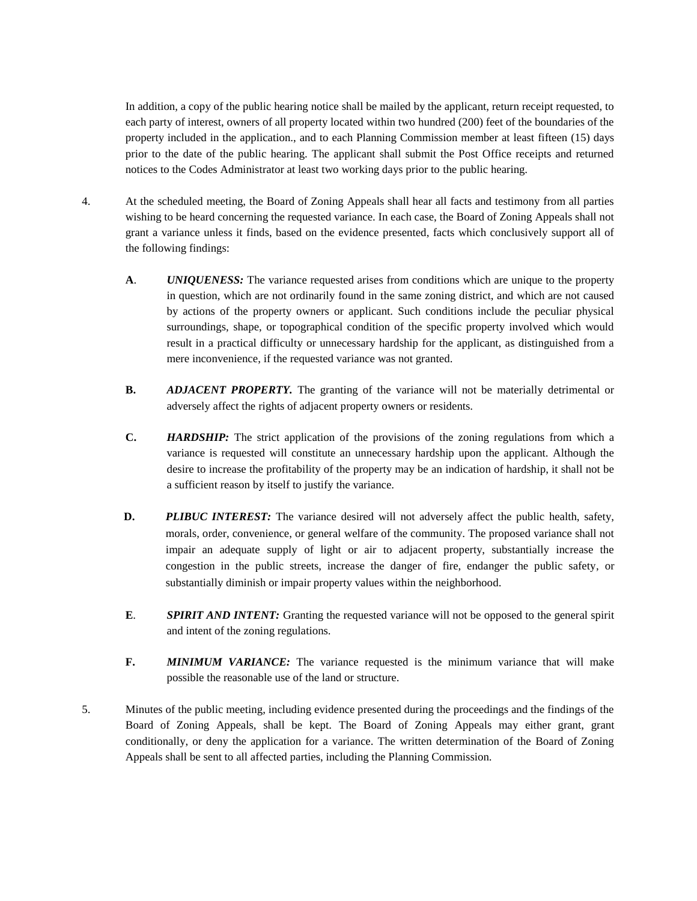In addition, a copy of the public hearing notice shall be mailed by the applicant, return receipt requested, to each party of interest, owners of all property located within two hundred (200) feet of the boundaries of the property included in the application., and to each Planning Commission member at least fifteen (15) days prior to the date of the public hearing. The applicant shall submit the Post Office receipts and returned notices to the Codes Administrator at least two working days prior to the public hearing.

- 4. At the scheduled meeting, the Board of Zoning Appeals shall hear all facts and testimony from all parties wishing to be heard concerning the requested variance. In each case, the Board of Zoning Appeals shall not grant a variance unless it finds, based on the evidence presented, facts which conclusively support all of the following findings:
	- **A**. *UNIQUENESS:* The variance requested arises from conditions which are unique to the property in question, which are not ordinarily found in the same zoning district, and which are not caused by actions of the property owners or applicant. Such conditions include the peculiar physical surroundings, shape, or topographical condition of the specific property involved which would result in a practical difficulty or unnecessary hardship for the applicant, as distinguished from a mere inconvenience, if the requested variance was not granted.
	- **B.** *ADJACENT PROPERTY.* The granting of the variance will not be materially detrimental or adversely affect the rights of adjacent property owners or residents.
	- **C.** *HARDSHIP:* The strict application of the provisions of the zoning regulations from which a variance is requested will constitute an unnecessary hardship upon the applicant. Although the desire to increase the profitability of the property may be an indication of hardship, it shall not be a sufficient reason by itself to justify the variance.
	- **D. PLIBUC INTEREST:** The variance desired will not adversely affect the public health, safety, morals, order, convenience, or general welfare of the community. The proposed variance shall not impair an adequate supply of light or air to adjacent property, substantially increase the congestion in the public streets, increase the danger of fire, endanger the public safety, or substantially diminish or impair property values within the neighborhood.
	- **E**. *SPIRIT AND INTENT:* Granting the requested variance will not be opposed to the general spirit and intent of the zoning regulations.
	- **F.** *MINIMUM VARIANCE:* The variance requested is the minimum variance that will make possible the reasonable use of the land or structure.
- 5. Minutes of the public meeting, including evidence presented during the proceedings and the findings of the Board of Zoning Appeals, shall be kept. The Board of Zoning Appeals may either grant, grant conditionally, or deny the application for a variance. The written determination of the Board of Zoning Appeals shall be sent to all affected parties, including the Planning Commission.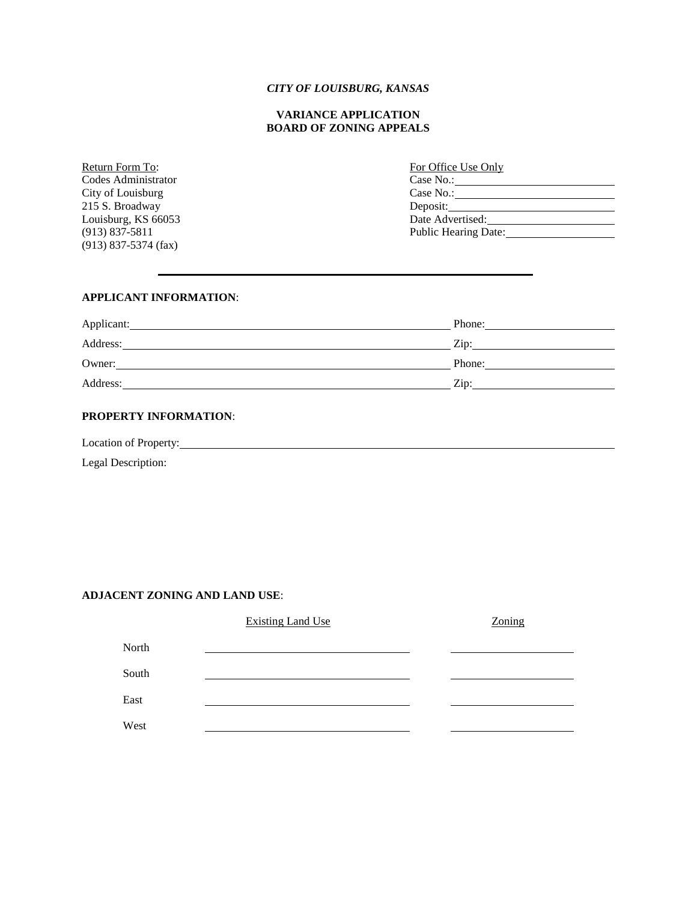### *CITY OF LOUISBURG, KANSAS*

### **VARIANCE APPLICATION BOARD OF ZONING APPEALS**

Return Form To: Codes Administrator City of Louisburg 215 S. Broadway Louisburg, KS  $66053$  $(913) 837 - 5811$ (913) 837-5374 (fax)

| For Office Use Only         |
|-----------------------------|
| Case No.:                   |
| Case No.:                   |
| Deposit: $\Box$             |
| Date Advertised:            |
| <b>Public Hearing Date:</b> |

#### **APPLICANT INFORMATION**:

| Applicant: | Phone:             |
|------------|--------------------|
| Address:   | $\overline{Z}$ ip: |
| Owner:     | Phone:             |
| Address:   | Zin:               |

## **PROPERTY INFORMATION**:

Location of Property:

Legal Description:

### **ADJACENT ZONING AND LAND USE**:

|       | <b>Existing Land Use</b> | Zoning |
|-------|--------------------------|--------|
| North |                          |        |
| South |                          |        |
| East  |                          |        |
| West  |                          |        |
|       |                          |        |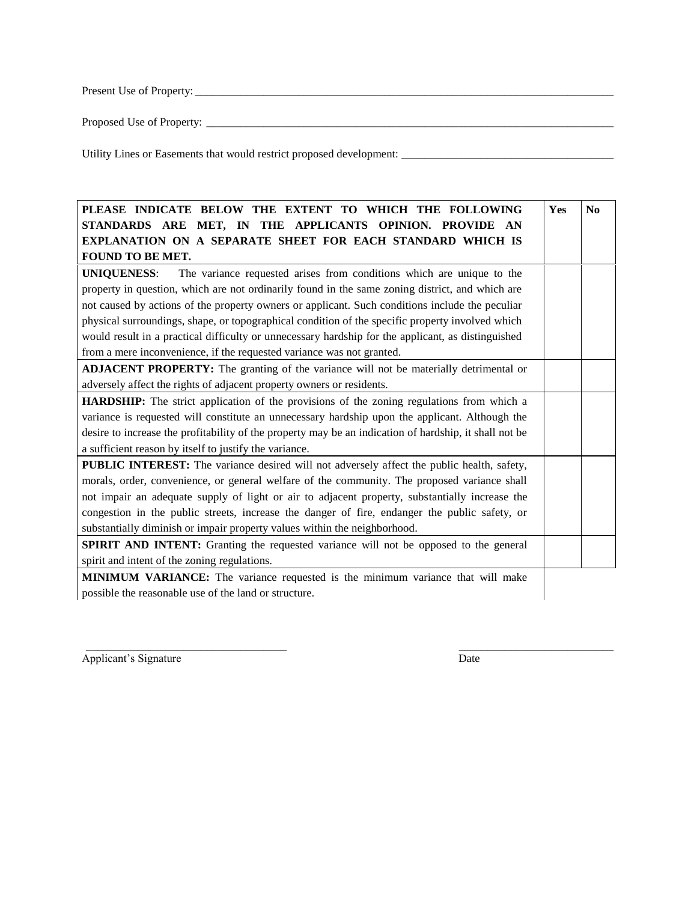Present Use of Property: \_\_\_\_\_\_\_\_\_\_\_\_\_\_\_\_\_\_\_\_\_\_\_\_\_\_\_\_\_\_\_\_\_\_\_\_\_\_\_\_\_\_\_\_\_\_\_\_\_\_\_\_\_\_\_\_\_\_\_\_\_\_\_\_\_\_\_\_\_\_\_\_\_

Proposed Use of Property: \_\_\_\_\_\_\_\_\_\_\_\_\_\_\_\_\_\_\_\_\_\_\_\_\_\_\_\_\_\_\_\_\_\_\_\_\_\_\_\_\_\_\_\_\_\_\_\_\_\_\_\_\_\_\_\_\_\_\_\_\_\_\_\_\_\_\_\_\_\_\_

Utility Lines or Easements that would restrict proposed development: \_\_\_\_\_\_\_\_\_\_\_\_\_\_\_\_\_\_\_\_\_\_\_\_\_\_\_\_\_\_\_\_\_\_\_\_\_

| PLEASE INDICATE BELOW THE EXTENT TO WHICH THE FOLLOWING                                                | Yes | N <sub>0</sub> |
|--------------------------------------------------------------------------------------------------------|-----|----------------|
| STANDARDS ARE MET, IN THE APPLICANTS OPINION. PROVIDE AN                                               |     |                |
| EXPLANATION ON A SEPARATE SHEET FOR EACH STANDARD WHICH IS                                             |     |                |
| FOUND TO BE MET.                                                                                       |     |                |
| <b>UNIQUENESS:</b><br>The variance requested arises from conditions which are unique to the            |     |                |
| property in question, which are not ordinarily found in the same zoning district, and which are        |     |                |
| not caused by actions of the property owners or applicant. Such conditions include the peculiar        |     |                |
| physical surroundings, shape, or topographical condition of the specific property involved which       |     |                |
| would result in a practical difficulty or unnecessary hardship for the applicant, as distinguished     |     |                |
| from a mere inconvenience, if the requested variance was not granted.                                  |     |                |
| <b>ADJACENT PROPERTY:</b> The granting of the variance will not be materially detrimental or           |     |                |
| adversely affect the rights of adjacent property owners or residents.                                  |     |                |
| <b>HARDSHIP:</b> The strict application of the provisions of the zoning regulations from which a       |     |                |
| variance is requested will constitute an unnecessary hardship upon the applicant. Although the         |     |                |
| desire to increase the profitability of the property may be an indication of hardship, it shall not be |     |                |
| a sufficient reason by itself to justify the variance.                                                 |     |                |
| PUBLIC INTEREST: The variance desired will not adversely affect the public health, safety,             |     |                |
| morals, order, convenience, or general welfare of the community. The proposed variance shall           |     |                |
| not impair an adequate supply of light or air to adjacent property, substantially increase the         |     |                |
| congestion in the public streets, increase the danger of fire, endanger the public safety, or          |     |                |
| substantially diminish or impair property values within the neighborhood.                              |     |                |
| SPIRIT AND INTENT: Granting the requested variance will not be opposed to the general                  |     |                |
| spirit and intent of the zoning regulations.                                                           |     |                |
| <b>MINIMUM VARIANCE:</b> The variance requested is the minimum variance that will make                 |     |                |
| possible the reasonable use of the land or structure.                                                  |     |                |

\_\_\_\_\_\_\_\_\_\_\_\_\_\_\_\_\_\_\_\_\_\_\_\_\_\_\_\_\_\_\_\_\_\_\_ \_\_\_\_\_\_\_\_\_\_\_\_\_\_\_\_\_\_\_\_\_\_\_\_\_\_\_

Applicant's Signature Date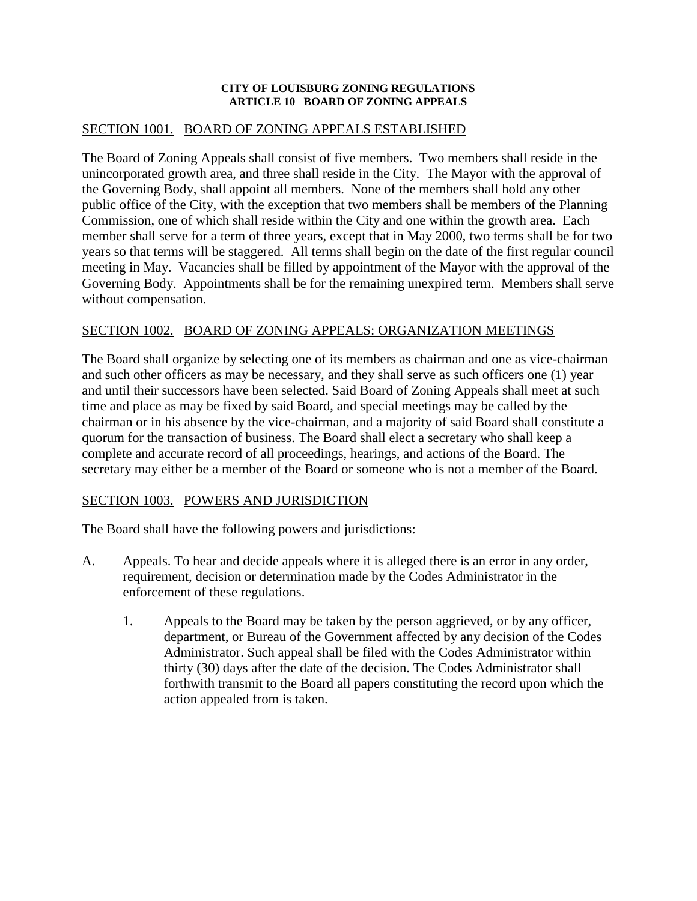## **CITY OF LOUISBURG ZONING REGULATIONS ARTICLE 10 BOARD OF ZONING APPEALS**

# SECTION 1001. BOARD OF ZONING APPEALS ESTABLISHED

The Board of Zoning Appeals shall consist of five members. Two members shall reside in the unincorporated growth area, and three shall reside in the City. The Mayor with the approval of the Governing Body, shall appoint all members. None of the members shall hold any other public office of the City, with the exception that two members shall be members of the Planning Commission, one of which shall reside within the City and one within the growth area. Each member shall serve for a term of three years, except that in May 2000, two terms shall be for two years so that terms will be staggered. All terms shall begin on the date of the first regular council meeting in May. Vacancies shall be filled by appointment of the Mayor with the approval of the Governing Body. Appointments shall be for the remaining unexpired term. Members shall serve without compensation.

# SECTION 1002. BOARD OF ZONING APPEALS: ORGANIZATION MEETINGS

The Board shall organize by selecting one of its members as chairman and one as vice-chairman and such other officers as may be necessary, and they shall serve as such officers one (1) year and until their successors have been selected. Said Board of Zoning Appeals shall meet at such time and place as may be fixed by said Board, and special meetings may be called by the chairman or in his absence by the vice-chairman, and a majority of said Board shall constitute a quorum for the transaction of business. The Board shall elect a secretary who shall keep a complete and accurate record of all proceedings, hearings, and actions of the Board. The secretary may either be a member of the Board or someone who is not a member of the Board.

# SECTION 1003. POWERS AND JURISDICTION

The Board shall have the following powers and jurisdictions:

- A. Appeals. To hear and decide appeals where it is alleged there is an error in any order, requirement, decision or determination made by the Codes Administrator in the enforcement of these regulations.
	- 1. Appeals to the Board may be taken by the person aggrieved, or by any officer, department, or Bureau of the Government affected by any decision of the Codes Administrator. Such appeal shall be filed with the Codes Administrator within thirty (30) days after the date of the decision. The Codes Administrator shall forthwith transmit to the Board all papers constituting the record upon which the action appealed from is taken.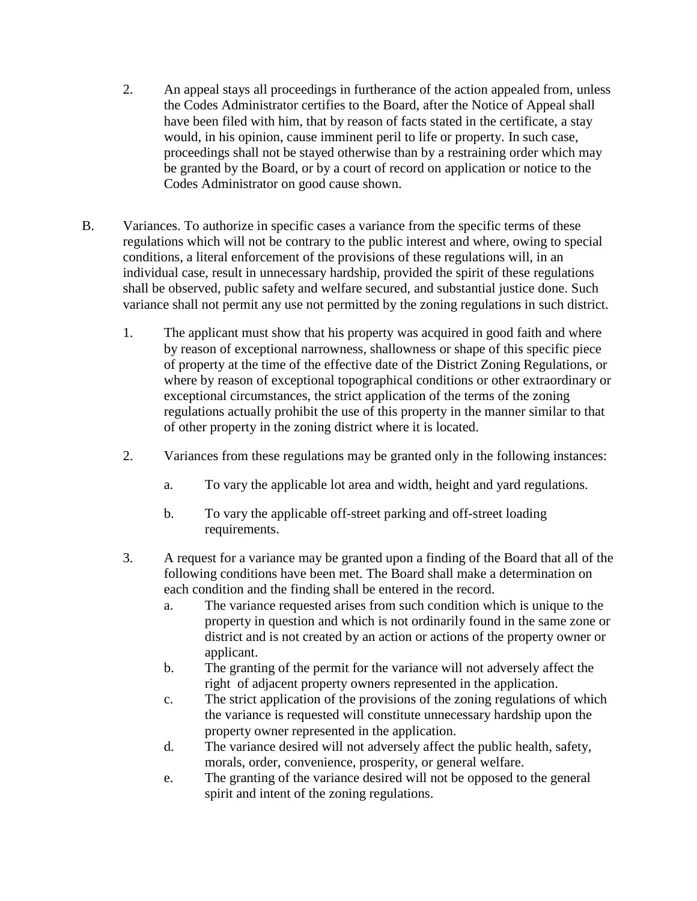- 2. An appeal stays all proceedings in furtherance of the action appealed from, unless the Codes Administrator certifies to the Board, after the Notice of Appeal shall have been filed with him, that by reason of facts stated in the certificate, a stay would, in his opinion, cause imminent peril to life or property. In such case, proceedings shall not be stayed otherwise than by a restraining order which may be granted by the Board, or by a court of record on application or notice to the Codes Administrator on good cause shown.
- B. Variances. To authorize in specific cases a variance from the specific terms of these regulations which will not be contrary to the public interest and where, owing to special conditions, a literal enforcement of the provisions of these regulations will, in an individual case, result in unnecessary hardship, provided the spirit of these regulations shall be observed, public safety and welfare secured, and substantial justice done. Such variance shall not permit any use not permitted by the zoning regulations in such district.
	- 1. The applicant must show that his property was acquired in good faith and where by reason of exceptional narrowness, shallowness or shape of this specific piece of property at the time of the effective date of the District Zoning Regulations, or where by reason of exceptional topographical conditions or other extraordinary or exceptional circumstances, the strict application of the terms of the zoning regulations actually prohibit the use of this property in the manner similar to that of other property in the zoning district where it is located.
	- 2. Variances from these regulations may be granted only in the following instances:
		- a. To vary the applicable lot area and width, height and yard regulations.
		- b. To vary the applicable off-street parking and off-street loading requirements.
	- 3. A request for a variance may be granted upon a finding of the Board that all of the following conditions have been met. The Board shall make a determination on each condition and the finding shall be entered in the record.
		- a. The variance requested arises from such condition which is unique to the property in question and which is not ordinarily found in the same zone or district and is not created by an action or actions of the property owner or applicant.
		- b. The granting of the permit for the variance will not adversely affect the right of adjacent property owners represented in the application.
		- c. The strict application of the provisions of the zoning regulations of which the variance is requested will constitute unnecessary hardship upon the property owner represented in the application.
		- d. The variance desired will not adversely affect the public health, safety, morals, order, convenience, prosperity, or general welfare.
		- e. The granting of the variance desired will not be opposed to the general spirit and intent of the zoning regulations.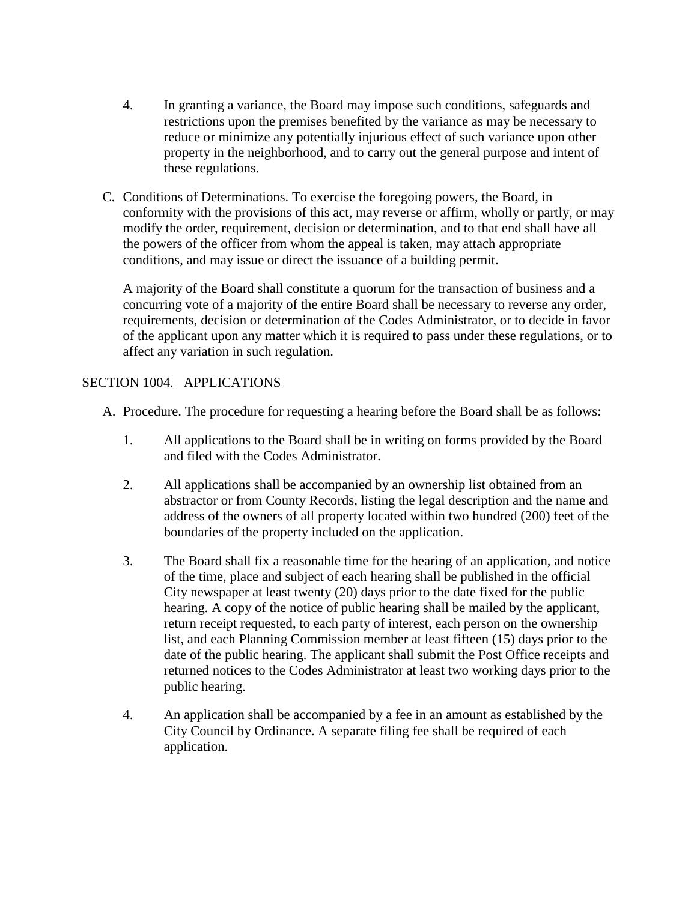- 4. In granting a variance, the Board may impose such conditions, safeguards and restrictions upon the premises benefited by the variance as may be necessary to reduce or minimize any potentially injurious effect of such variance upon other property in the neighborhood, and to carry out the general purpose and intent of these regulations.
- C. Conditions of Determinations. To exercise the foregoing powers, the Board, in conformity with the provisions of this act, may reverse or affirm, wholly or partly, or may modify the order, requirement, decision or determination, and to that end shall have all the powers of the officer from whom the appeal is taken, may attach appropriate conditions, and may issue or direct the issuance of a building permit.

A majority of the Board shall constitute a quorum for the transaction of business and a concurring vote of a majority of the entire Board shall be necessary to reverse any order, requirements, decision or determination of the Codes Administrator, or to decide in favor of the applicant upon any matter which it is required to pass under these regulations, or to affect any variation in such regulation.

# SECTION 1004. APPLICATIONS

- A. Procedure. The procedure for requesting a hearing before the Board shall be as follows:
	- 1. All applications to the Board shall be in writing on forms provided by the Board and filed with the Codes Administrator.
	- 2. All applications shall be accompanied by an ownership list obtained from an abstractor or from County Records, listing the legal description and the name and address of the owners of all property located within two hundred (200) feet of the boundaries of the property included on the application.
	- 3. The Board shall fix a reasonable time for the hearing of an application, and notice of the time, place and subject of each hearing shall be published in the official City newspaper at least twenty (20) days prior to the date fixed for the public hearing. A copy of the notice of public hearing shall be mailed by the applicant, return receipt requested, to each party of interest, each person on the ownership list, and each Planning Commission member at least fifteen (15) days prior to the date of the public hearing. The applicant shall submit the Post Office receipts and returned notices to the Codes Administrator at least two working days prior to the public hearing.
	- 4. An application shall be accompanied by a fee in an amount as established by the City Council by Ordinance. A separate filing fee shall be required of each application.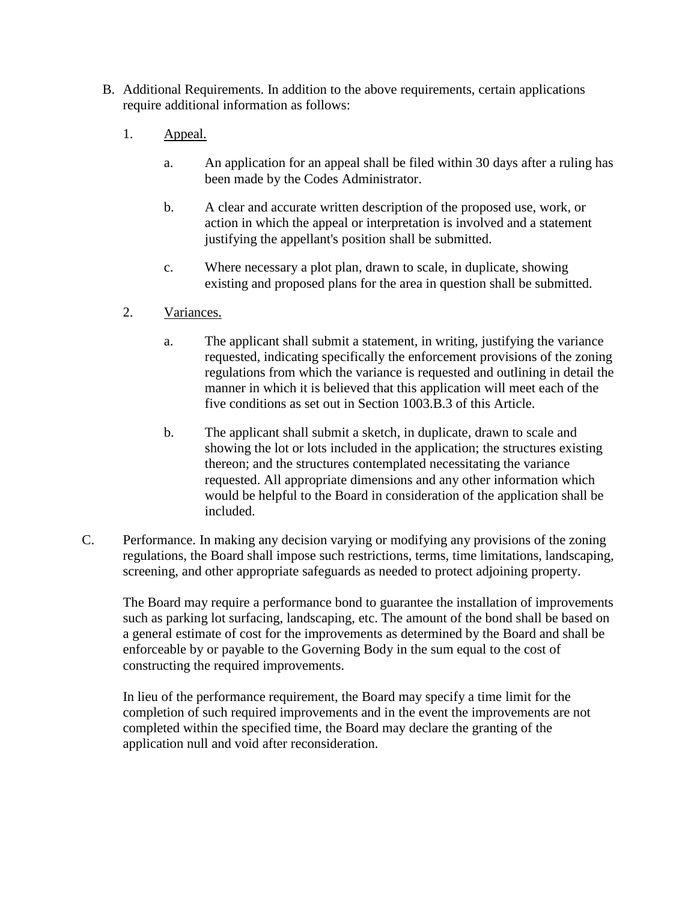- B. Additional Requirements. In addition to the above requirements, certain applications require additional information as follows:
	- 1. Appeal.
		- a. An application for an appeal shall be filed within 30 days after a ruling has been made by the Codes Administrator.
		- b. A clear and accurate written description of the proposed use, work, or action in which the appeal or interpretation is involved and a statement justifying the appellant's position shall be submitted.
		- c. Where necessary a plot plan, drawn to scale, in duplicate, showing existing and proposed plans for the area in question shall be submitted.
	- 2. Variances.
		- a. The applicant shall submit a statement, in writing, justifying the variance requested, indicating specifically the enforcement provisions of the zoning regulations from which the variance is requested and outlining in detail the manner in which it is believed that this application will meet each of the five conditions as set out in Section 1003.B.3 of this Article.
		- b. The applicant shall submit a sketch, in duplicate, drawn to scale and showing the lot or lots included in the application; the structures existing thereon; and the structures contemplated necessitating the variance requested. All appropriate dimensions and any other information which would be helpful to the Board in consideration of the application shall be included.
- C. Performance. In making any decision varying or modifying any provisions of the zoning regulations, the Board shall impose such restrictions, terms, time limitations, landscaping, screening, and other appropriate safeguards as needed to protect adjoining property.

The Board may require a performance bond to guarantee the installation of improvements such as parking lot surfacing, landscaping, etc. The amount of the bond shall be based on a general estimate of cost for the improvements as determined by the Board and shall be enforceable by or payable to the Governing Body in the sum equal to the cost of constructing the required improvements.

In lieu of the performance requirement, the Board may specify a time limit for the completion of such required improvements and in the event the improvements are not completed within the specified time, the Board may declare the granting of the application null and void after reconsideration.